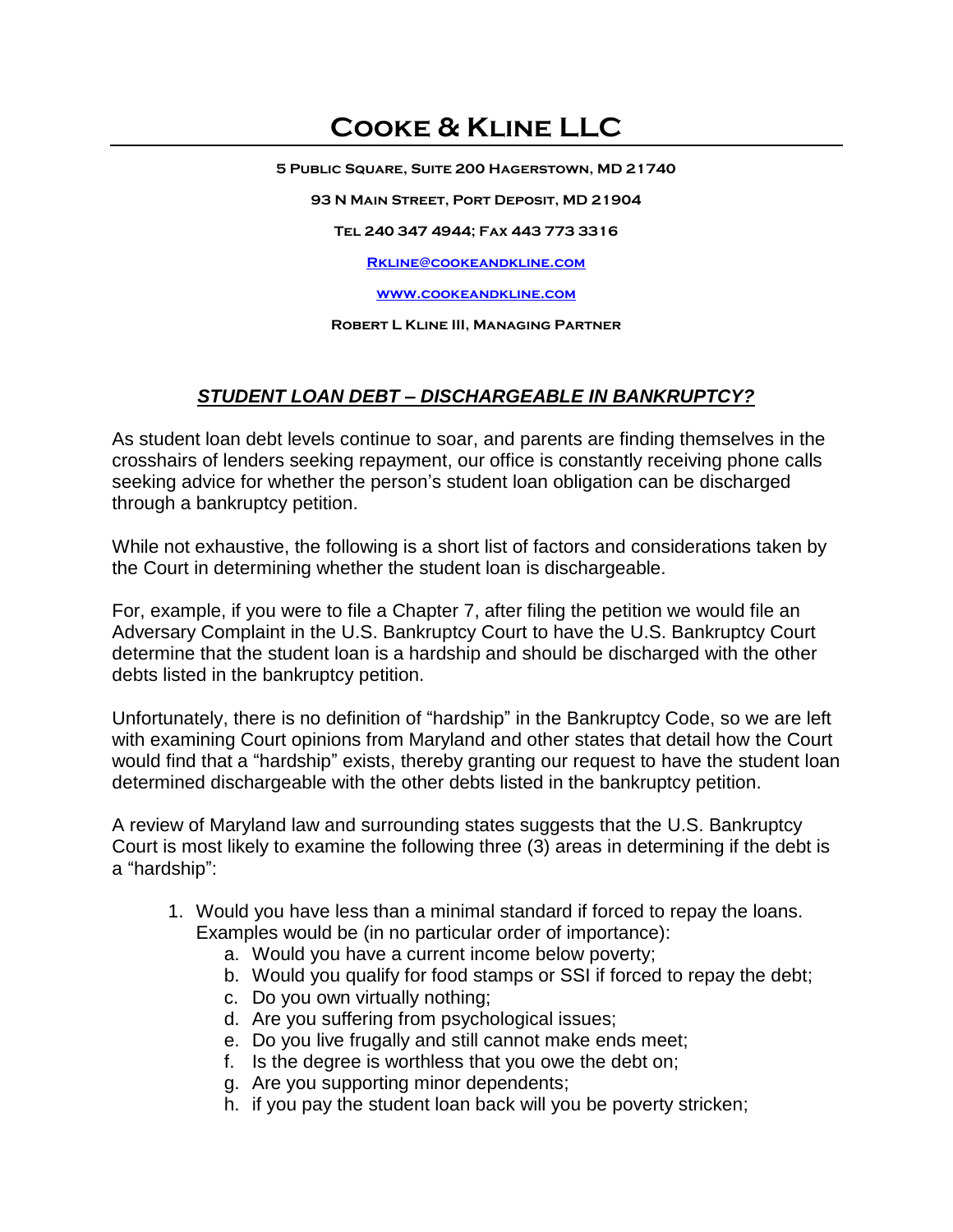## **Cooke & Kline LLC**

**5 Public Square, Suite 200 Hagerstown, MD 21740**

**93 N Main Street, Port Deposit, MD 21904**

**Tel 240 347 4944; Fax 443 773 3316**

**[Rkline@cookeandkline.com](mailto:Rkline@cookeandkline.com)**

**[www.cookeandkline.com](http://www.cookeandkline.com/)**

**Robert L Kline III, Managing Partner**

## *STUDENT LOAN DEBT – DISCHARGEABLE IN BANKRUPTCY?*

As student loan debt levels continue to soar, and parents are finding themselves in the crosshairs of lenders seeking repayment, our office is constantly receiving phone calls seeking advice for whether the person's student loan obligation can be discharged through a bankruptcy petition.

While not exhaustive, the following is a short list of factors and considerations taken by the Court in determining whether the student loan is dischargeable.

For, example, if you were to file a Chapter 7, after filing the petition we would file an Adversary Complaint in the U.S. Bankruptcy Court to have the U.S. Bankruptcy Court determine that the student loan is a hardship and should be discharged with the other debts listed in the bankruptcy petition.

Unfortunately, there is no definition of "hardship" in the Bankruptcy Code, so we are left with examining Court opinions from Maryland and other states that detail how the Court would find that a "hardship" exists, thereby granting our request to have the student loan determined dischargeable with the other debts listed in the bankruptcy petition.

A review of Maryland law and surrounding states suggests that the U.S. Bankruptcy Court is most likely to examine the following three (3) areas in determining if the debt is a "hardship":

- 1. Would you have less than a minimal standard if forced to repay the loans. Examples would be (in no particular order of importance):
	- a. Would you have a current income below poverty;
	- b. Would you qualify for food stamps or SSI if forced to repay the debt;
	- c. Do you own virtually nothing;
	- d. Are you suffering from psychological issues;
	- e. Do you live frugally and still cannot make ends meet;
	- f. Is the degree is worthless that you owe the debt on;
	- g. Are you supporting minor dependents;
	- h. if you pay the student loan back will you be poverty stricken;